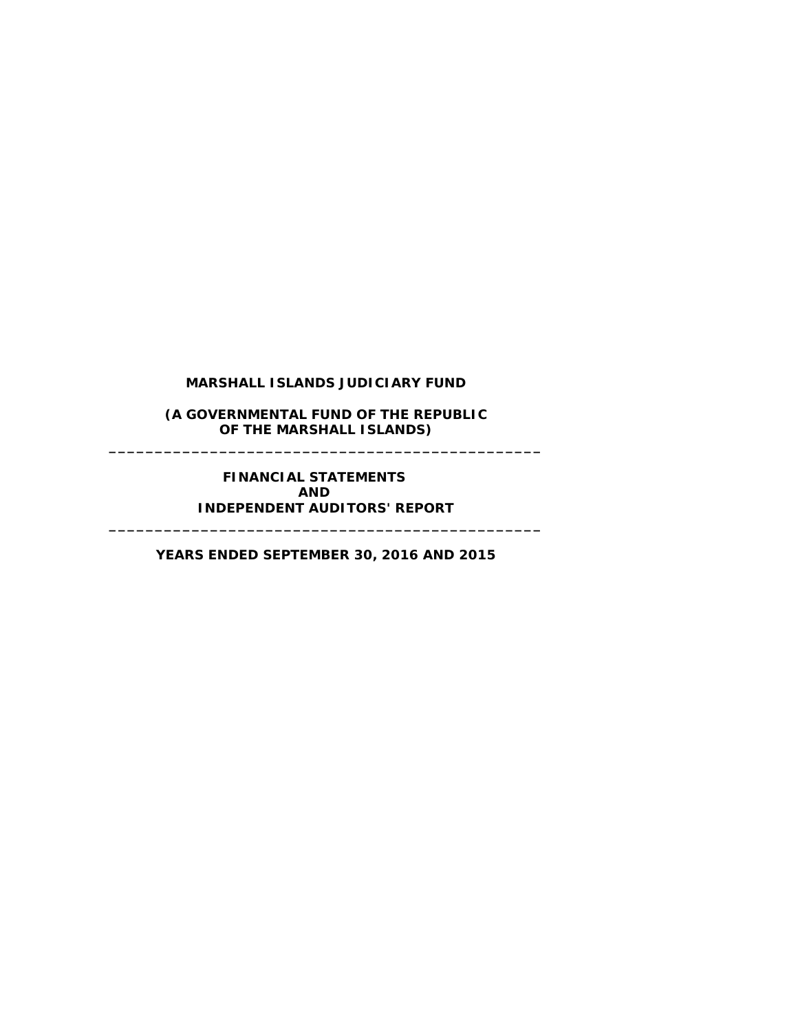**(A GOVERNMENTAL FUND OF THE REPUBLIC OF THE MARSHALL ISLANDS) \_\_\_\_\_\_\_\_\_\_\_\_\_\_\_\_\_\_\_\_\_\_\_\_\_\_\_\_\_\_\_\_\_\_\_\_\_\_\_\_\_\_\_\_\_\_\_**

> **FINANCIAL STATEMENTS AND INDEPENDENT AUDITORS' REPORT**

**YEARS ENDED SEPTEMBER 30, 2016 AND 2015**

**\_\_\_\_\_\_\_\_\_\_\_\_\_\_\_\_\_\_\_\_\_\_\_\_\_\_\_\_\_\_\_\_\_\_\_\_\_\_\_\_\_\_\_\_\_\_\_**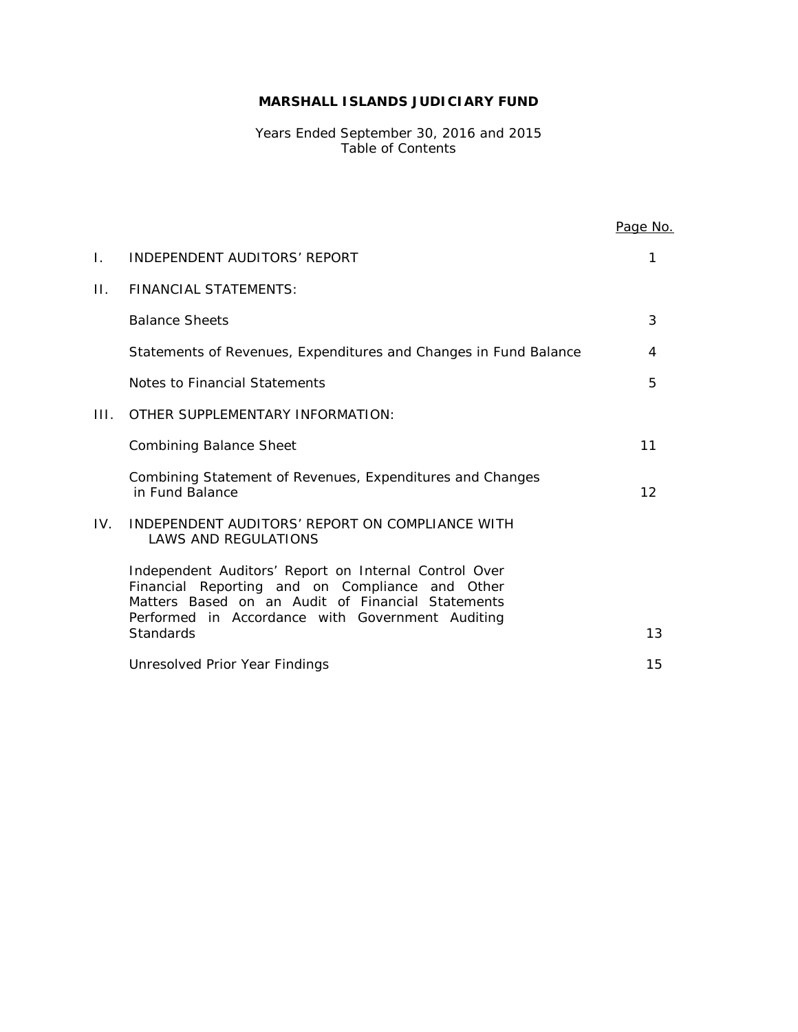Years Ended September 30, 2016 and 2015 Table of Contents

|      |                                                                                                                                                                                                                   | Page No. |
|------|-------------------------------------------------------------------------------------------------------------------------------------------------------------------------------------------------------------------|----------|
| L.   | INDEPENDENT AUDITORS' REPORT                                                                                                                                                                                      | 1        |
| Н.   | <b>FINANCIAL STATEMENTS:</b>                                                                                                                                                                                      |          |
|      | <b>Balance Sheets</b>                                                                                                                                                                                             | 3        |
|      | Statements of Revenues, Expenditures and Changes in Fund Balance                                                                                                                                                  | 4        |
|      | Notes to Financial Statements                                                                                                                                                                                     | 5        |
| III. | OTHER SUPPLEMENTARY INFORMATION:                                                                                                                                                                                  |          |
|      | <b>Combining Balance Sheet</b>                                                                                                                                                                                    | 11       |
|      | Combining Statement of Revenues, Expenditures and Changes<br>in Fund Balance                                                                                                                                      | 12       |
| IV.  | INDEPENDENT AUDITORS' REPORT ON COMPLIANCE WITH<br><b>LAWS AND REGULATIONS</b>                                                                                                                                    |          |
|      | Independent Auditors' Report on Internal Control Over<br>Financial Reporting and on Compliance and Other<br>Matters Based on an Audit of Financial Statements<br>Performed in Accordance with Government Auditing |          |
|      | <b>Standards</b>                                                                                                                                                                                                  | 13       |
|      | Unresolved Prior Year Findings                                                                                                                                                                                    | 15       |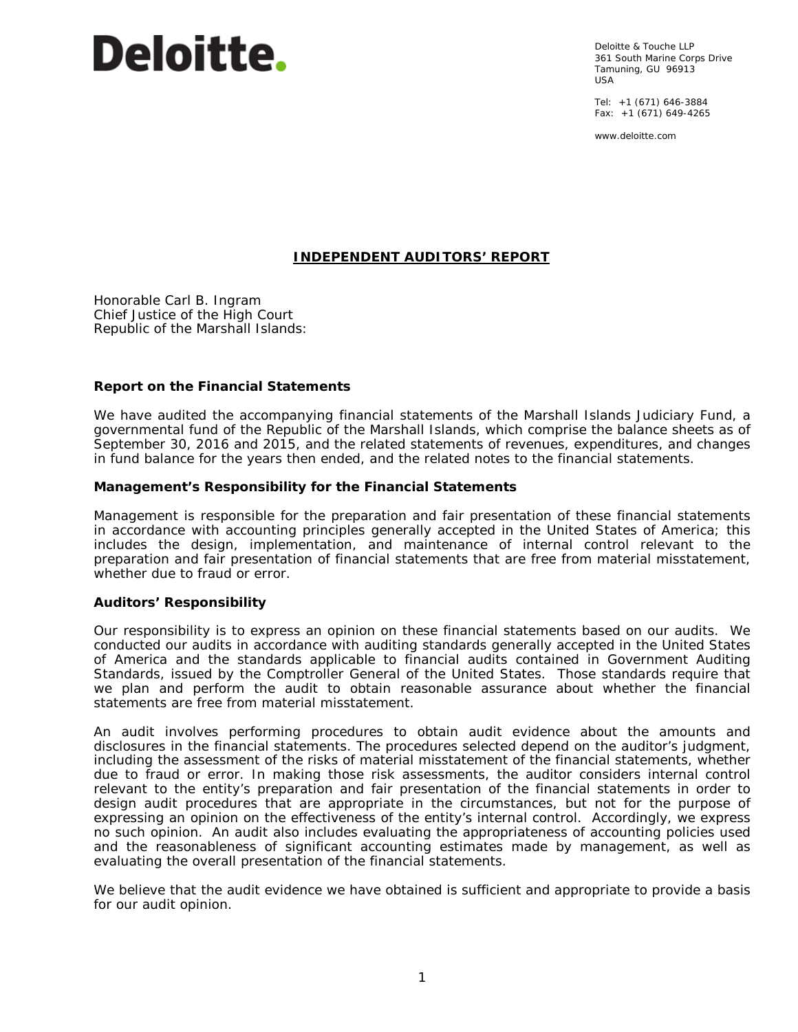Deloitte & Touche LLP 361 South Marine Corps Drive Tamuning, GU 96913 USA

Tel: +1 (671) 646-3884 Fax: +1 (671) 649-4265

www.deloitte.com

# **INDEPENDENT AUDITORS' REPORT**

Honorable Carl B. Ingram Chief Justice of the High Court Republic of the Marshall Islands:

#### **Report on the Financial Statements**

We have audited the accompanying financial statements of the Marshall Islands Judiciary Fund, a governmental fund of the Republic of the Marshall Islands, which comprise the balance sheets as of September 30, 2016 and 2015, and the related statements of revenues, expenditures, and changes in fund balance for the years then ended, and the related notes to the financial statements.

#### *Management's Responsibility for the Financial Statements*

Management is responsible for the preparation and fair presentation of these financial statements in accordance with accounting principles generally accepted in the United States of America; this includes the design, implementation, and maintenance of internal control relevant to the preparation and fair presentation of financial statements that are free from material misstatement, whether due to fraud or error.

# *Auditors' Responsibility*

Our responsibility is to express an opinion on these financial statements based on our audits. We conducted our audits in accordance with auditing standards generally accepted in the United States of America and the standards applicable to financial audits contained in *Government Auditing Standards,* issued by the Comptroller General of the United States. Those standards require that we plan and perform the audit to obtain reasonable assurance about whether the financial statements are free from material misstatement.

An audit involves performing procedures to obtain audit evidence about the amounts and disclosures in the financial statements. The procedures selected depend on the auditor's judgment, including the assessment of the risks of material misstatement of the financial statements, whether due to fraud or error. In making those risk assessments, the auditor considers internal control relevant to the entity's preparation and fair presentation of the financial statements in order to design audit procedures that are appropriate in the circumstances, but not for the purpose of expressing an opinion on the effectiveness of the entity's internal control. Accordingly, we express no such opinion. An audit also includes evaluating the appropriateness of accounting policies used and the reasonableness of significant accounting estimates made by management, as well as evaluating the overall presentation of the financial statements.

We believe that the audit evidence we have obtained is sufficient and appropriate to provide a basis for our audit opinion.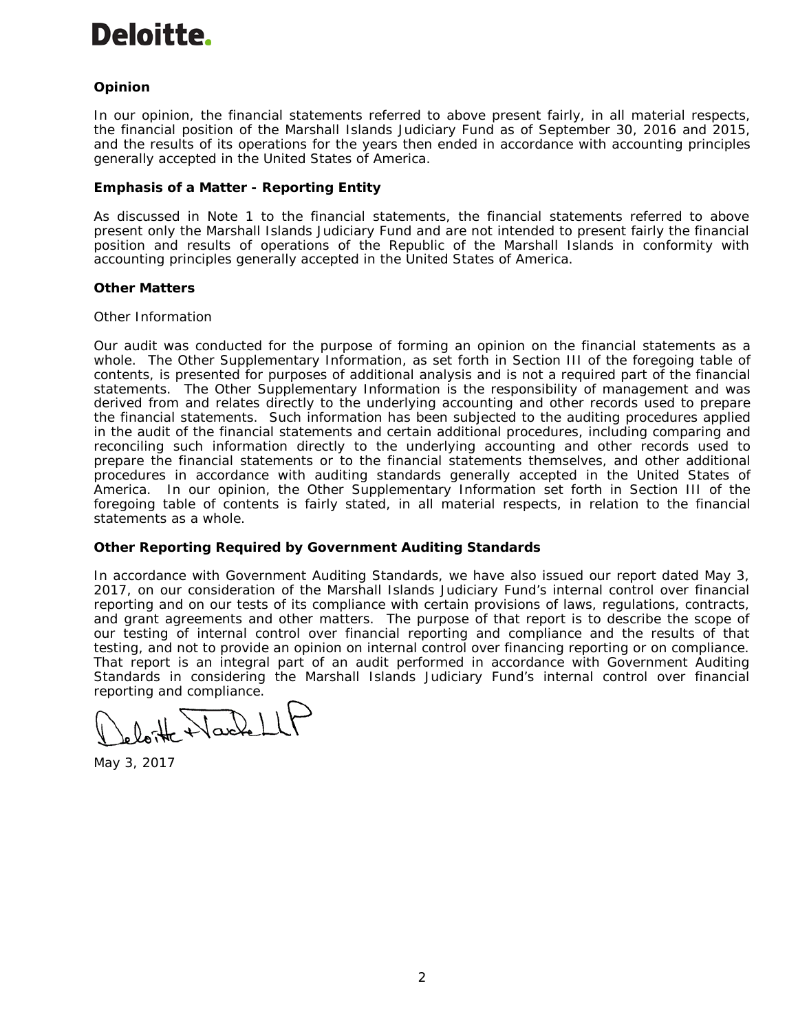# *Opinion*

In our opinion, the financial statements referred to above present fairly, in all material respects, the financial position of the Marshall Islands Judiciary Fund as of September 30, 2016 and 2015, and the results of its operations for the years then ended in accordance with accounting principles generally accepted in the United States of America.

#### *Emphasis of a Matter - Reporting Entity*

As discussed in Note 1 to the financial statements, the financial statements referred to above present only the Marshall Islands Judiciary Fund and are not intended to present fairly the financial position and results of operations of the Republic of the Marshall Islands in conformity with accounting principles generally accepted in the United States of America.

#### *Other Matters*

#### *Other Information*

Our audit was conducted for the purpose of forming an opinion on the financial statements as a whole. The Other Supplementary Information, as set forth in Section III of the foregoing table of contents, is presented for purposes of additional analysis and is not a required part of the financial statements. The Other Supplementary Information is the responsibility of management and was derived from and relates directly to the underlying accounting and other records used to prepare the financial statements. Such information has been subjected to the auditing procedures applied in the audit of the financial statements and certain additional procedures, including comparing and reconciling such information directly to the underlying accounting and other records used to prepare the financial statements or to the financial statements themselves, and other additional procedures in accordance with auditing standards generally accepted in the United States of America. In our opinion, the Other Supplementary Information set forth in Section III of the foregoing table of contents is fairly stated, in all material respects, in relation to the financial statements as a whole.

#### **Other Reporting Required by** *Government Auditing Standards*

In accordance with *Government Auditing Standards*, we have also issued our report dated May 3, 2017, on our consideration of the Marshall Islands Judiciary Fund's internal control over financial reporting and on our tests of its compliance with certain provisions of laws, regulations, contracts, and grant agreements and other matters. The purpose of that report is to describe the scope of our testing of internal control over financial reporting and compliance and the results of that testing, and not to provide an opinion on internal control over financing reporting or on compliance. That report is an integral part of an audit performed in accordance with *Government Auditing Standards* in considering the Marshall Islands Judiciary Fund's internal control over financial reporting and compliance.

off Nackel

May 3, 2017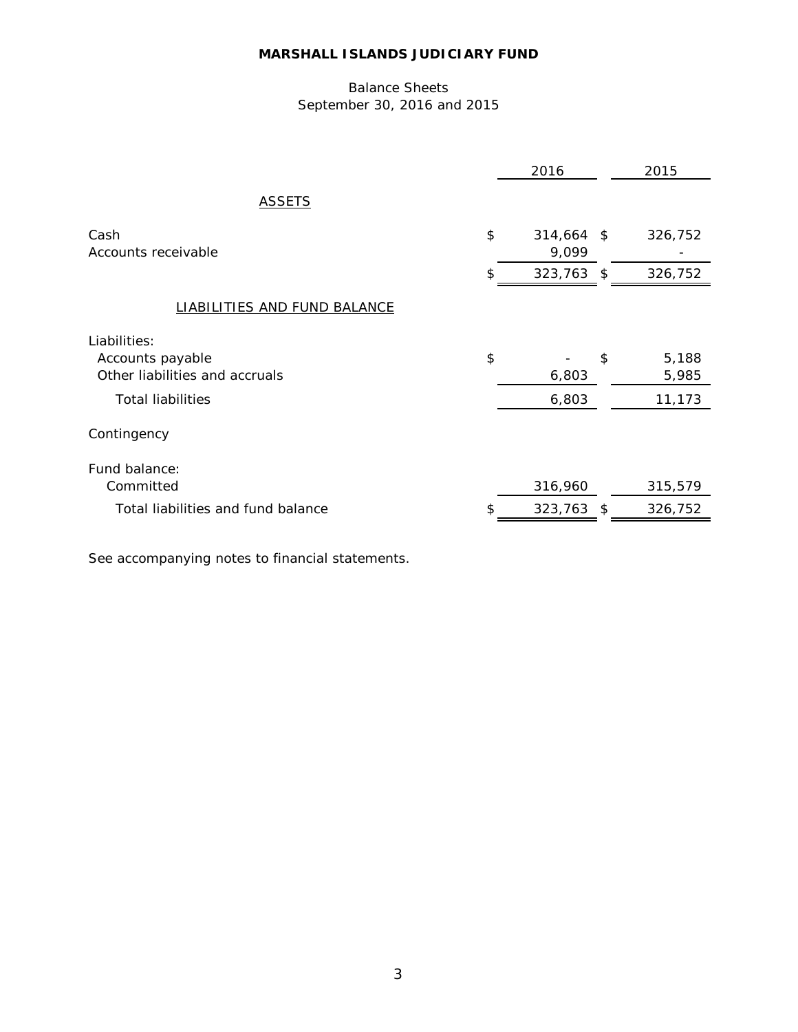# Balance Sheets September 30, 2016 and 2015

|                                                                    |          | 2016                             | 2015                     |
|--------------------------------------------------------------------|----------|----------------------------------|--------------------------|
| <b>ASSETS</b>                                                      |          |                                  |                          |
| Cash<br>Accounts receivable                                        | \$<br>\$ | $314,664$ \$<br>9,099<br>323,763 | \$<br>326,752<br>326,752 |
| <b>LIABILITIES AND FUND BALANCE</b>                                |          |                                  |                          |
| Liabilities:<br>Accounts payable<br>Other liabilities and accruals | \$       | 6,803                            | \$<br>5,188<br>5,985     |
| <b>Total liabilities</b>                                           |          | 6,803                            | 11,173                   |
| Contingency                                                        |          |                                  |                          |
| Fund balance:<br>Committed                                         |          | 316,960                          | 315,579                  |
| Total liabilities and fund balance                                 | \$       | 323,763 \$                       | 326,752                  |
|                                                                    |          |                                  |                          |

See accompanying notes to financial statements.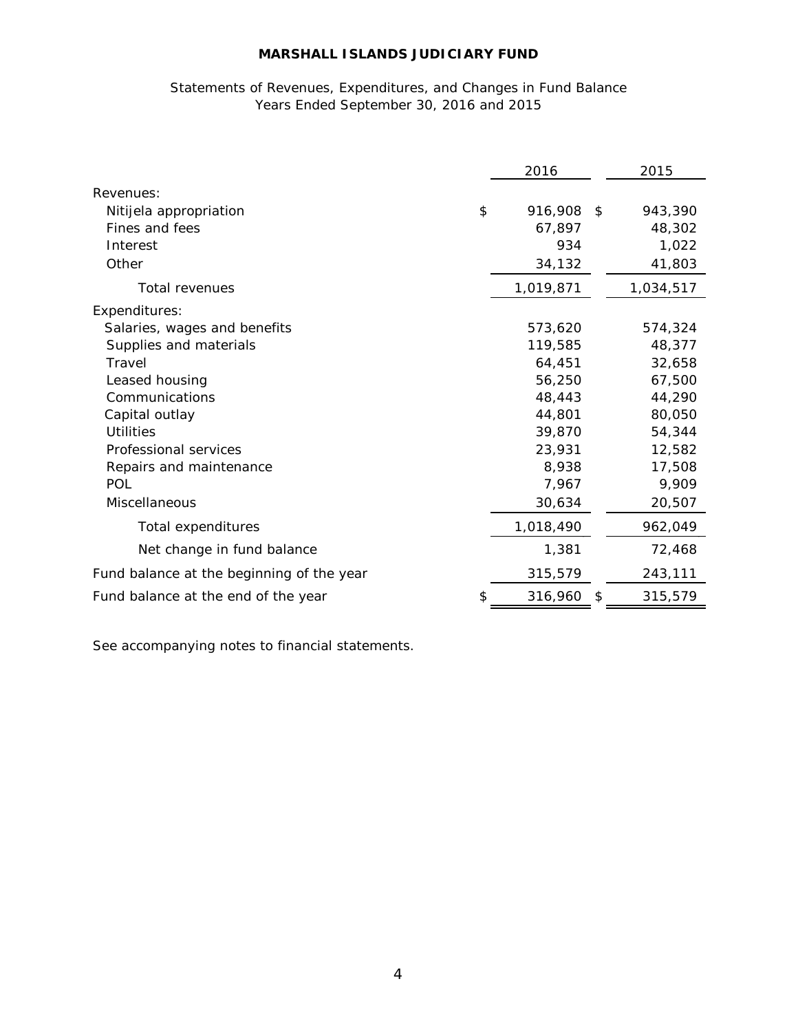# Statements of Revenues, Expenditures, and Changes in Fund Balance Years Ended September 30, 2016 and 2015

|                                           | 2016          |     | 2015      |
|-------------------------------------------|---------------|-----|-----------|
| Revenues:                                 |               |     |           |
| Nitijela appropriation                    | \$<br>916,908 | -\$ | 943,390   |
| Fines and fees                            | 67,897        |     | 48,302    |
| Interest                                  | 934           |     | 1,022     |
| Other                                     | 34,132        |     | 41,803    |
| Total revenues                            | 1,019,871     |     | 1,034,517 |
| Expenditures:                             |               |     |           |
| Salaries, wages and benefits              | 573,620       |     | 574,324   |
| Supplies and materials                    | 119,585       |     | 48,377    |
| Travel                                    | 64,451        |     | 32,658    |
| Leased housing                            | 56,250        |     | 67,500    |
| Communications                            | 48,443        |     | 44,290    |
| Capital outlay                            | 44,801        |     | 80,050    |
| Utilities                                 | 39,870        |     | 54,344    |
| Professional services                     | 23,931        |     | 12,582    |
| Repairs and maintenance                   | 8,938         |     | 17,508    |
| POL                                       | 7,967         |     | 9,909     |
| Miscellaneous                             | 30,634        |     | 20,507    |
| Total expenditures                        | 1,018,490     |     | 962,049   |
| Net change in fund balance                | 1,381         |     | 72,468    |
| Fund balance at the beginning of the year | 315,579       |     | 243,111   |
| Fund balance at the end of the year       | \$<br>316,960 | \$  | 315,579   |

See accompanying notes to financial statements.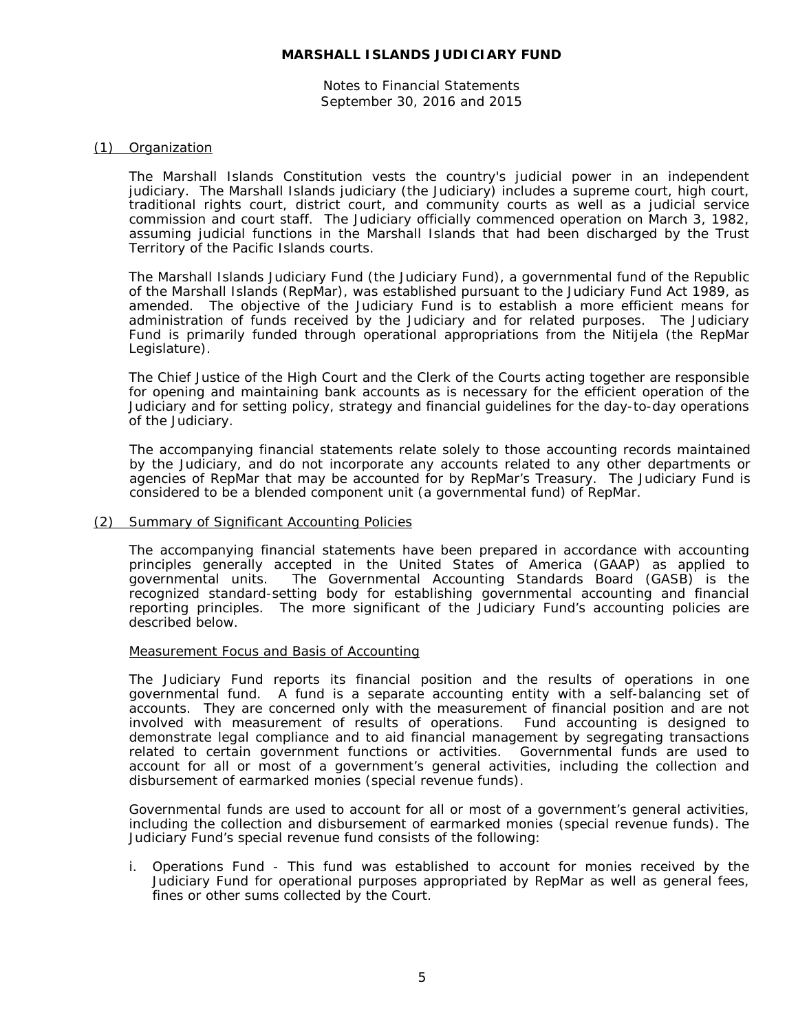Notes to Financial Statements September 30, 2016 and 2015

#### (1) Organization

The Marshall Islands Constitution vests the country's judicial power in an independent judiciary. The Marshall Islands judiciary (the Judiciary) includes a supreme court, high court, traditional rights court, district court, and community courts as well as a judicial service commission and court staff. The Judiciary officially commenced operation on March 3, 1982, assuming judicial functions in the Marshall Islands that had been discharged by the Trust Territory of the Pacific Islands courts.

The Marshall Islands Judiciary Fund (the Judiciary Fund), a governmental fund of the Republic of the Marshall Islands (RepMar), was established pursuant to the Judiciary Fund Act 1989, as amended. The objective of the Judiciary Fund is to establish a more efficient means for administration of funds received by the Judiciary and for related purposes. The Judiciary Fund is primarily funded through operational appropriations from the Nitijela (the RepMar Legislature).

The Chief Justice of the High Court and the Clerk of the Courts acting together are responsible for opening and maintaining bank accounts as is necessary for the efficient operation of the Judiciary and for setting policy, strategy and financial guidelines for the day-to-day operations of the Judiciary.

The accompanying financial statements relate solely to those accounting records maintained by the Judiciary, and do not incorporate any accounts related to any other departments or agencies of RepMar that may be accounted for by RepMar's Treasury. The Judiciary Fund is considered to be a blended component unit (a governmental fund) of RepMar.

#### (2) Summary of Significant Accounting Policies

The accompanying financial statements have been prepared in accordance with accounting principles generally accepted in the United States of America (GAAP) as applied to governmental units. The Governmental Accounting Standards Board (GASB) is the The Governmental Accounting Standards Board (GASB) is the recognized standard-setting body for establishing governmental accounting and financial reporting principles. The more significant of the Judiciary Fund's accounting policies are described below.

#### Measurement Focus and Basis of Accounting

The Judiciary Fund reports its financial position and the results of operations in one governmental fund. A fund is a separate accounting entity with a self-balancing set of accounts. They are concerned only with the measurement of financial position and are not involved with measurement of results of operations. Fund accounting is designed to involved with measurement of results of operations. demonstrate legal compliance and to aid financial management by segregating transactions related to certain government functions or activities. Governmental funds are used to account for all or most of a government's general activities, including the collection and disbursement of earmarked monies (special revenue funds).

Governmental funds are used to account for all or most of a government's general activities, including the collection and disbursement of earmarked monies (special revenue funds). The Judiciary Fund's special revenue fund consists of the following:

i. Operations Fund - This fund was established to account for monies received by the Judiciary Fund for operational purposes appropriated by RepMar as well as general fees, fines or other sums collected by the Court.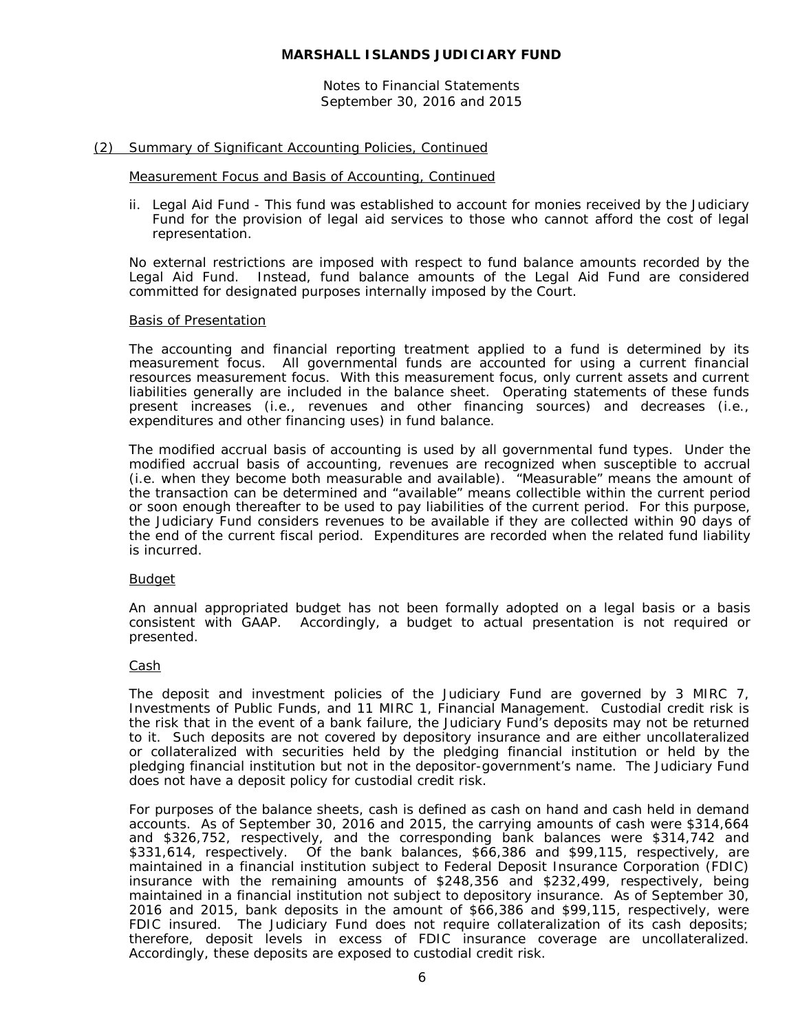Notes to Financial Statements September 30, 2016 and 2015

#### (2) Summary of Significant Accounting Policies, Continued

#### Measurement Focus and Basis of Accounting, Continued

ii. Legal Aid Fund - This fund was established to account for monies received by the Judiciary Fund for the provision of legal aid services to those who cannot afford the cost of legal representation.

No external restrictions are imposed with respect to fund balance amounts recorded by the Legal Aid Fund. Instead, fund balance amounts of the Legal Aid Fund are considered committed for designated purposes internally imposed by the Court.

#### Basis of Presentation

The accounting and financial reporting treatment applied to a fund is determined by its measurement focus. All governmental funds are accounted for using a current financial resources measurement focus. With this measurement focus, only current assets and current liabilities generally are included in the balance sheet. Operating statements of these funds present increases (i.e., revenues and other financing sources) and decreases (i.e., expenditures and other financing uses) in fund balance.

The modified accrual basis of accounting is used by all governmental fund types. Under the modified accrual basis of accounting, revenues are recognized when susceptible to accrual (i.e. when they become both measurable and available). "Measurable" means the amount of the transaction can be determined and "available" means collectible within the current period or soon enough thereafter to be used to pay liabilities of the current period. For this purpose, the Judiciary Fund considers revenues to be available if they are collected within 90 days of the end of the current fiscal period. Expenditures are recorded when the related fund liability is incurred.

#### Budget

An annual appropriated budget has not been formally adopted on a legal basis or a basis consistent with GAAP. Accordingly, a budget to actual presentation is not required or presented.

#### Cash

The deposit and investment policies of the Judiciary Fund are governed by 3 MIRC 7, *Investments of Public Funds*, and 11 MIRC 1, *Financial Management*. Custodial credit risk is the risk that in the event of a bank failure, the Judiciary Fund's deposits may not be returned to it. Such deposits are not covered by depository insurance and are either uncollateralized or collateralized with securities held by the pledging financial institution or held by the pledging financial institution but not in the depositor-government's name. The Judiciary Fund does not have a deposit policy for custodial credit risk.

For purposes of the balance sheets, cash is defined as cash on hand and cash held in demand accounts. As of September 30, 2016 and 2015, the carrying amounts of cash were \$314,664 and \$326,752, respectively, and the corresponding bank balances were \$314,742 and \$331,614, respectively. Of the bank balances, \$66,386 and \$99,115, respectively, are maintained in a financial institution subject to Federal Deposit Insurance Corporation (FDIC) insurance with the remaining amounts of \$248,356 and \$232,499, respectively, being maintained in a financial institution not subject to depository insurance. As of September 30, 2016 and 2015, bank deposits in the amount of \$66,386 and \$99,115, respectively, were FDIC insured. The Judiciary Fund does not require collateralization of its cash deposits; therefore, deposit levels in excess of FDIC insurance coverage are uncollateralized. Accordingly, these deposits are exposed to custodial credit risk.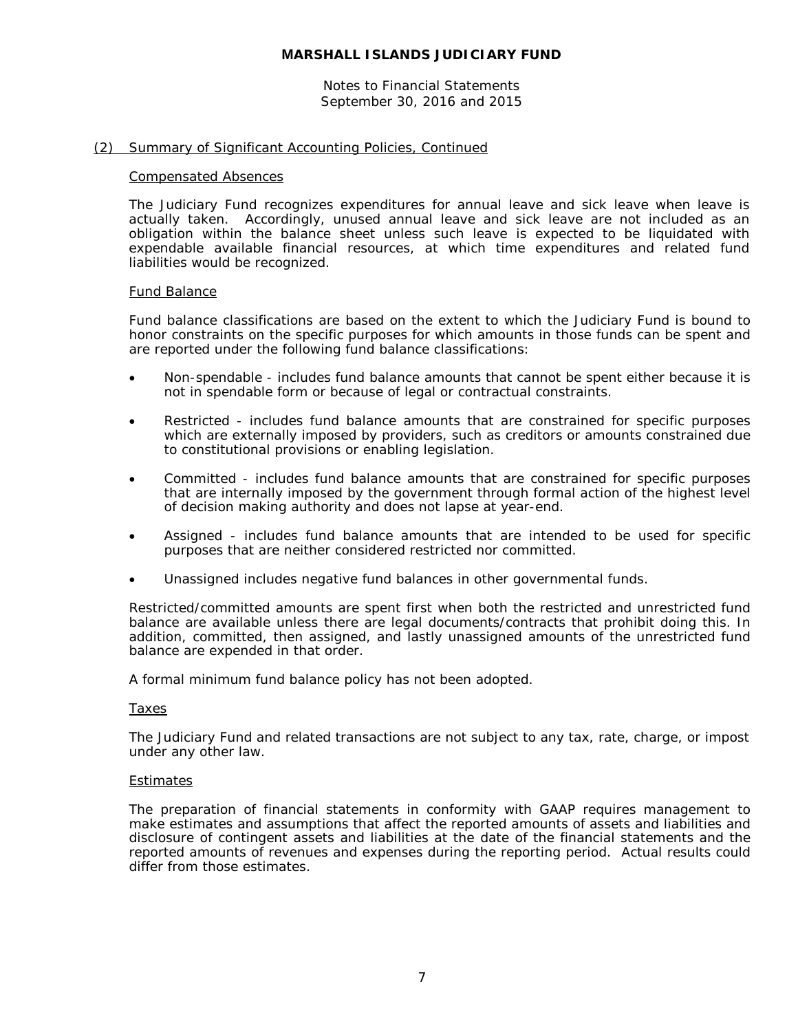Notes to Financial Statements September 30, 2016 and 2015

#### (2) Summary of Significant Accounting Policies, Continued

#### Compensated Absences

The Judiciary Fund recognizes expenditures for annual leave and sick leave when leave is actually taken. Accordingly, unused annual leave and sick leave are not included as an obligation within the balance sheet unless such leave is expected to be liquidated with expendable available financial resources, at which time expenditures and related fund liabilities would be recognized.

#### Fund Balance

Fund balance classifications are based on the extent to which the Judiciary Fund is bound to honor constraints on the specific purposes for which amounts in those funds can be spent and are reported under the following fund balance classifications:

- Non-spendable includes fund balance amounts that cannot be spent either because it is not in spendable form or because of legal or contractual constraints.
- Restricted includes fund balance amounts that are constrained for specific purposes which are externally imposed by providers, such as creditors or amounts constrained due to constitutional provisions or enabling legislation.
- Committed includes fund balance amounts that are constrained for specific purposes that are internally imposed by the government through formal action of the highest level of decision making authority and does not lapse at year-end.
- Assigned includes fund balance amounts that are intended to be used for specific purposes that are neither considered restricted nor committed.
- Unassigned includes negative fund balances in other governmental funds.

Restricted/committed amounts are spent first when both the restricted and unrestricted fund balance are available unless there are legal documents/contracts that prohibit doing this. In addition, committed, then assigned, and lastly unassigned amounts of the unrestricted fund balance are expended in that order.

A formal minimum fund balance policy has not been adopted.

#### Taxes

The Judiciary Fund and related transactions are not subject to any tax, rate, charge, or impost under any other law.

#### **Estimates**

The preparation of financial statements in conformity with GAAP requires management to make estimates and assumptions that affect the reported amounts of assets and liabilities and disclosure of contingent assets and liabilities at the date of the financial statements and the reported amounts of revenues and expenses during the reporting period. Actual results could differ from those estimates.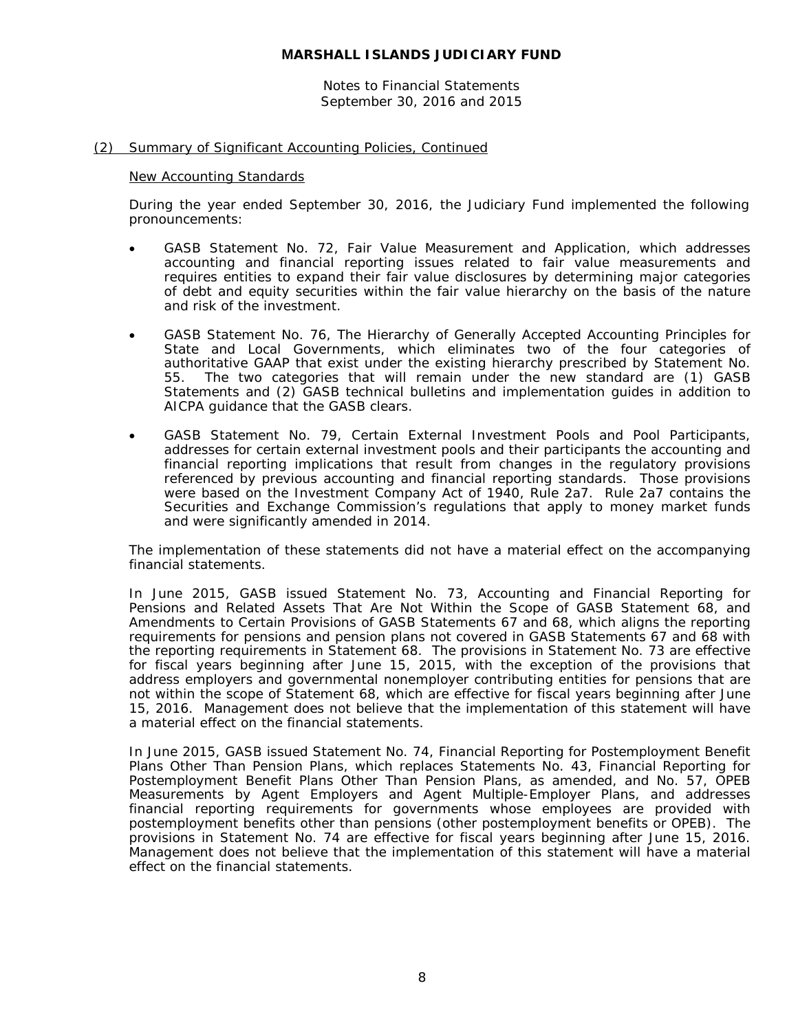Notes to Financial Statements September 30, 2016 and 2015

#### (2) Summary of Significant Accounting Policies, Continued

#### New Accounting Standards

During the year ended September 30, 2016, the Judiciary Fund implemented the following pronouncements:

- GASB Statement No. 72, *Fair Value Measurement and Application,* which addresses accounting and financial reporting issues related to fair value measurements and requires entities to expand their fair value disclosures by determining major categories of debt and equity securities within the fair value hierarchy on the basis of the nature and risk of the investment.
- GASB Statement No. 76, *The Hierarchy of Generally Accepted Accounting Principles for State and Local Governments*, which eliminates two of the four categories of authoritative GAAP that exist under the existing hierarchy prescribed by Statement No. 55. The two categories that will remain under the new standard are (1) GASB Statements and (2) GASB technical bulletins and implementation guides in addition to AICPA guidance that the GASB clears.
- GASB Statement No. 79, *Certain External Investment Pools and Pool Participants*, addresses for certain external investment pools and their participants the accounting and financial reporting implications that result from changes in the regulatory provisions referenced by previous accounting and financial reporting standards. Those provisions were based on the Investment Company Act of 1940, Rule 2a7. Rule 2a7 contains the Securities and Exchange Commission's regulations that apply to money market funds and were significantly amended in 2014.

The implementation of these statements did not have a material effect on the accompanying financial statements.

In June 2015, GASB issued Statement No. 73, *Accounting and Financial Reporting for*  Pensions and Related Assets That Are Not Within the Scope of GASB Statement 68, and *Amendments to Certain Provisions of GASB Statements 67 and 68*, which aligns the reporting requirements for pensions and pension plans not covered in GASB Statements 67 and 68 with the reporting requirements in Statement 68. The provisions in Statement No. 73 are effective for fiscal years beginning after June 15, 2015, with the exception of the provisions that address employers and governmental nonemployer contributing entities for pensions that are not within the scope of Statement 68, which are effective for fiscal years beginning after June 15, 2016. Management does not believe that the implementation of this statement will have a material effect on the financial statements.

In June 2015, GASB issued Statement No. 74, *Financial Reporting for Postemployment Benefit Plans Other Than Pension Plans*, which replaces Statements No. 43, *Financial Reporting for Postemployment Benefit Plans Other Than Pension Plans*, as amended, and No. 57, *OPEB Measurements by Agent Employers and Agent Multiple-Employer Plans*, and addresses financial reporting requirements for governments whose employees are provided with postemployment benefits other than pensions (other postemployment benefits or OPEB). The provisions in Statement No. 74 are effective for fiscal years beginning after June 15, 2016. Management does not believe that the implementation of this statement will have a material effect on the financial statements.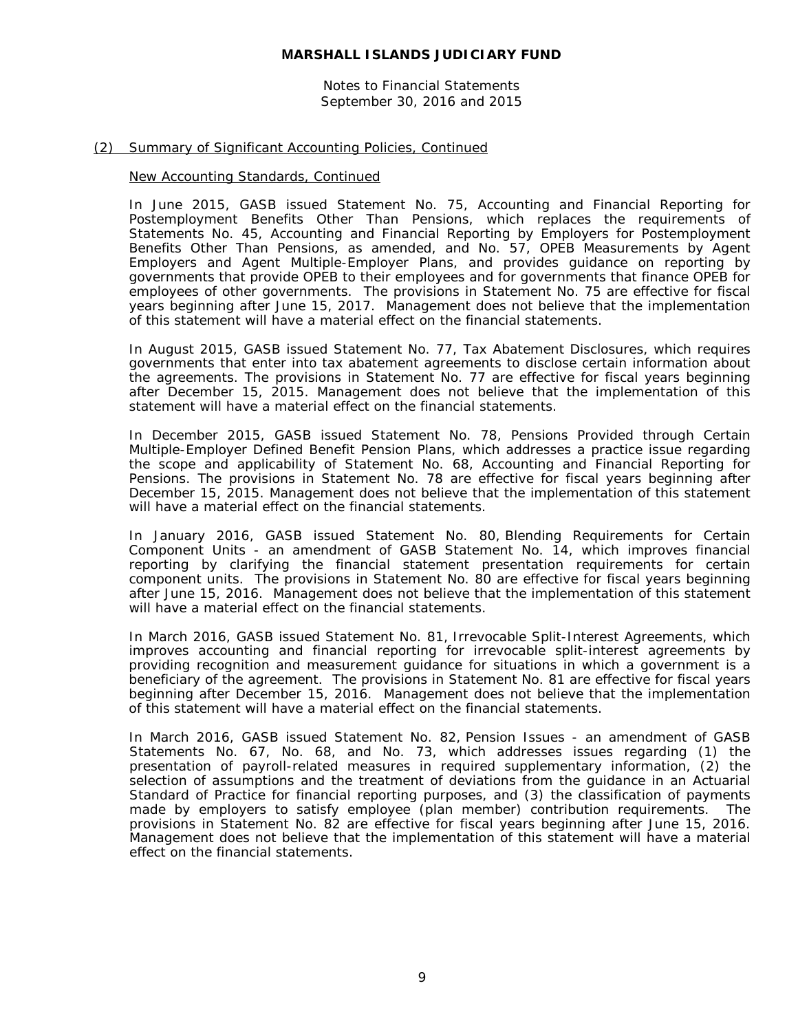Notes to Financial Statements September 30, 2016 and 2015

#### (2) Summary of Significant Accounting Policies, Continued

#### New Accounting Standards, Continued

In June 2015, GASB issued Statement No. 75, *Accounting and Financial Reporting for Postemployment Benefits Other Than Pensions*, which replaces the requirements of Statements No. 45, *Accounting and Financial Reporting by Employers for Postemployment Benefits Other Than Pensions*, as amended, and No. 57, *OPEB Measurements by Agent Employers and Agent Multiple-Employer Plans*, and provides guidance on reporting by governments that provide OPEB to their employees and for governments that finance OPEB for employees of other governments. The provisions in Statement No. 75 are effective for fiscal years beginning after June 15, 2017. Management does not believe that the implementation of this statement will have a material effect on the financial statements.

In August 2015, GASB issued Statement No. 77, *Tax Abatement Disclosures*, which requires governments that enter into tax abatement agreements to disclose certain information about the agreements. The provisions in Statement No. 77 are effective for fiscal years beginning after December 15, 2015. Management does not believe that the implementation of this statement will have a material effect on the financial statements.

In December 2015, GASB issued Statement No. 78, *Pensions Provided through Certain Multiple-Employer Defined Benefit Pension Plans,* which addresses a practice issue regarding the scope and applicability of Statement No. 68, *Accounting and Financial Reporting for Pensions*. The provisions in Statement No. 78 are effective for fiscal years beginning after December 15, 2015. Management does not believe that the implementation of this statement will have a material effect on the financial statements.

In January 2016, GASB issued Statement No. 80, *Blending Requirements for Certain Component Units - an amendment of GASB Statement No. 14,* which improves financial reporting by clarifying the financial statement presentation requirements for certain component units. The provisions in Statement No. 80 are effective for fiscal years beginning after June 15, 2016. Management does not believe that the implementation of this statement will have a material effect on the financial statements.

In March 2016, GASB issued Statement No. 81, *Irrevocable Split-Interest Agreements,* which improves accounting and financial reporting for irrevocable split-interest agreements by providing recognition and measurement guidance for situations in which a government is a beneficiary of the agreement. The provisions in Statement No. 81 are effective for fiscal years beginning after December 15, 2016. Management does not believe that the implementation of this statement will have a material effect on the financial statements.

In March 2016, GASB issued Statement No. 82, *Pension Issues - an amendment of GASB Statements No. 67, No. 68, and No. 73,* which addresses issues regarding (1) the presentation of payroll-related measures in required supplementary information, (2) the selection of assumptions and the treatment of deviations from the guidance in an Actuarial Standard of Practice for financial reporting purposes, and (3) the classification of payments made by employers to satisfy employee (plan member) contribution requirements. The provisions in Statement No. 82 are effective for fiscal years beginning after June 15, 2016. Management does not believe that the implementation of this statement will have a material effect on the financial statements.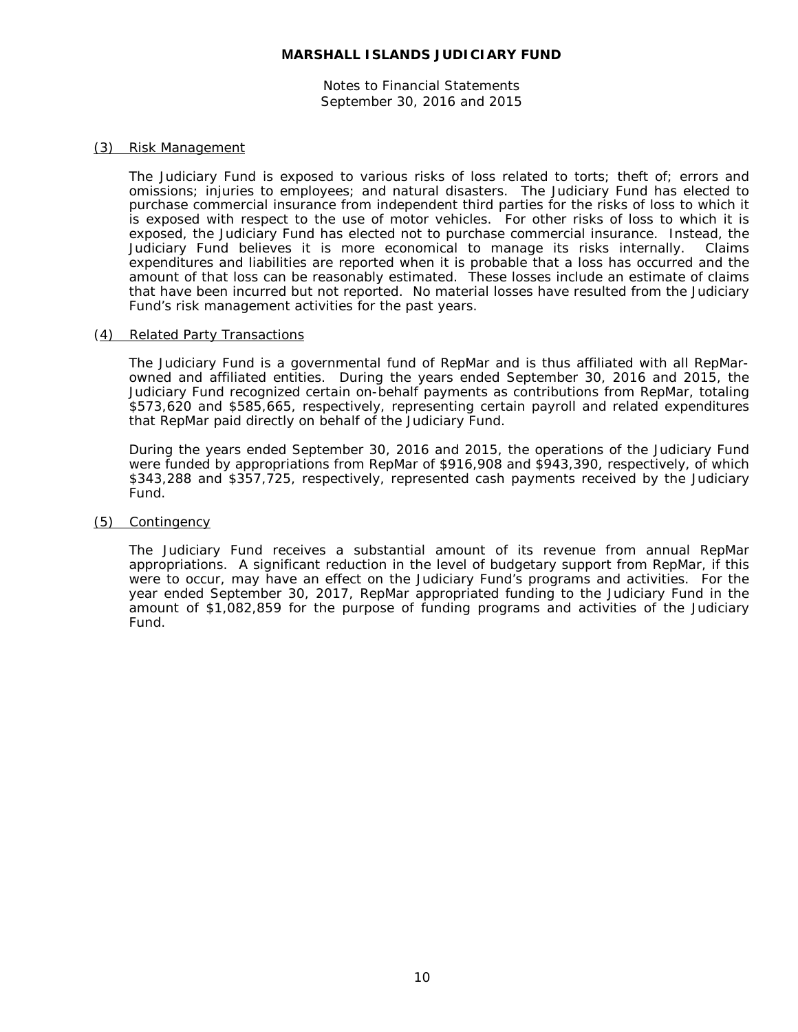Notes to Financial Statements September 30, 2016 and 2015

#### (3) Risk Management

The Judiciary Fund is exposed to various risks of loss related to torts; theft of; errors and omissions; injuries to employees; and natural disasters. The Judiciary Fund has elected to purchase commercial insurance from independent third parties for the risks of loss to which it is exposed with respect to the use of motor vehicles. For other risks of loss to which it is exposed, the Judiciary Fund has elected not to purchase commercial insurance. Instead, the Judiciary Fund believes it is more economical to manage its risks internally. Claims expenditures and liabilities are reported when it is probable that a loss has occurred and the amount of that loss can be reasonably estimated. These losses include an estimate of claims that have been incurred but not reported. No material losses have resulted from the Judiciary Fund's risk management activities for the past years.

#### (4) Related Party Transactions

The Judiciary Fund is a governmental fund of RepMar and is thus affiliated with all RepMarowned and affiliated entities. During the years ended September 30, 2016 and 2015, the Judiciary Fund recognized certain on-behalf payments as contributions from RepMar, totaling \$573,620 and \$585,665, respectively, representing certain payroll and related expenditures that RepMar paid directly on behalf of the Judiciary Fund.

During the years ended September 30, 2016 and 2015, the operations of the Judiciary Fund were funded by appropriations from RepMar of \$916,908 and \$943,390, respectively, of which \$343,288 and \$357,725, respectively, represented cash payments received by the Judiciary Fund.

#### (5) Contingency

The Judiciary Fund receives a substantial amount of its revenue from annual RepMar appropriations. A significant reduction in the level of budgetary support from RepMar, if this were to occur, may have an effect on the Judiciary Fund's programs and activities. For the year ended September 30, 2017, RepMar appropriated funding to the Judiciary Fund in the amount of \$1,082,859 for the purpose of funding programs and activities of the Judiciary Fund.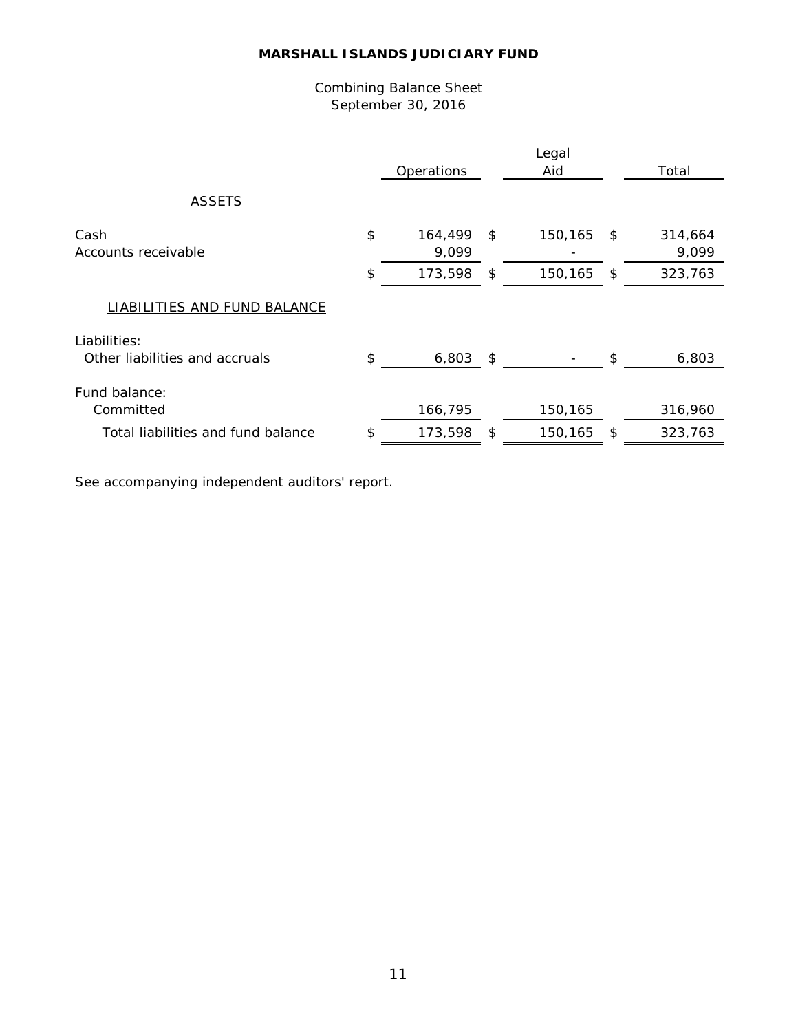Combining Balance Sheet September 30, 2016

|                                                | Operations             |            | Legal<br>Aid |               | Total            |
|------------------------------------------------|------------------------|------------|--------------|---------------|------------------|
| <b>ASSETS</b>                                  |                        |            |              |               |                  |
| Cash<br>Accounts receivable                    | \$<br>164,499<br>9,099 | \$         | 150,165      | - \$          | 314,664<br>9,099 |
|                                                | \$<br>173,598          | \$         | 150,165      | $\sqrt[6]{2}$ | 323,763          |
| LIABILITIES AND FUND BALANCE                   |                        |            |              |               |                  |
| Liabilities:<br>Other liabilities and accruals | \$<br>6,803            | $\sqrt{2}$ |              | \$            | 6,803            |
| Fund balance:<br>Committed                     | 166,795                |            | 150,165      |               | 316,960          |
| Total liabilities and fund balance             | \$<br>173,598          | \$         | 150,165      | \$            | 323,763          |

See accompanying independent auditors' report.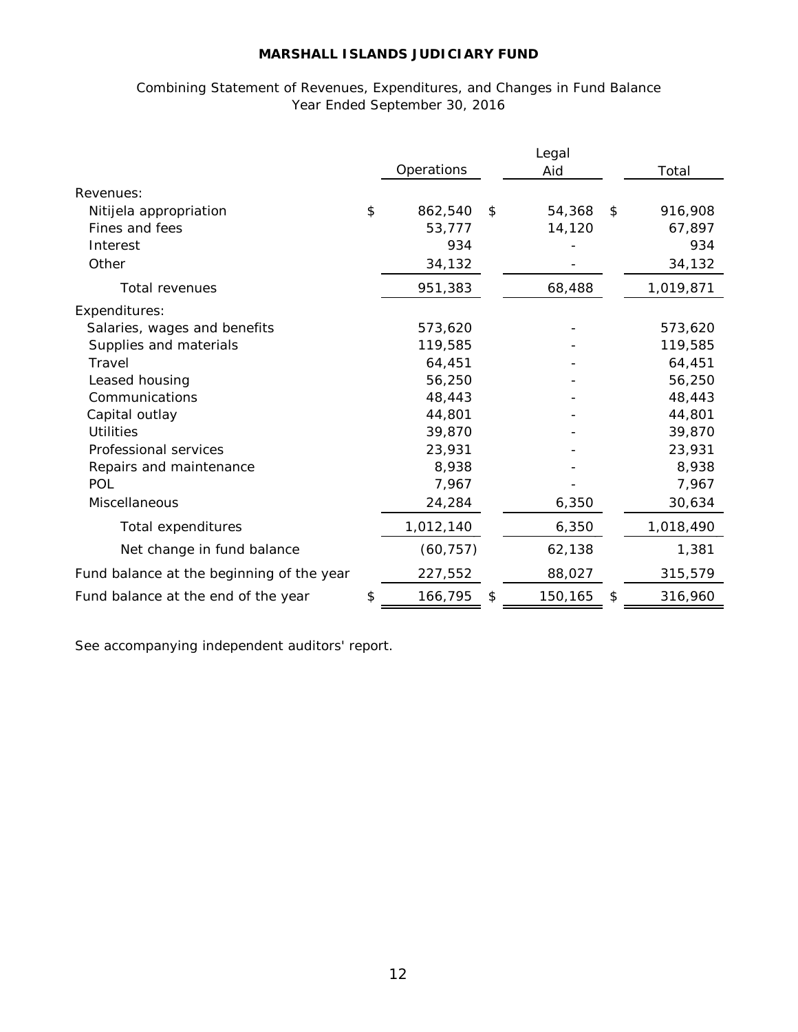# Combining Statement of Revenues, Expenditures, and Changes in Fund Balance Year Ended September 30, 2016

|                                           |               | Legal         |               |
|-------------------------------------------|---------------|---------------|---------------|
|                                           | Operations    | Aid           | Total         |
| Revenues:                                 |               |               |               |
| Nitijela appropriation                    | \$<br>862,540 | \$<br>54,368  | \$<br>916,908 |
| Fines and fees                            | 53,777        | 14,120        | 67,897        |
| Interest                                  | 934           |               | 934           |
| Other                                     | 34,132        |               | 34,132        |
| Total revenues                            | 951,383       | 68,488        | 1,019,871     |
| Expenditures:                             |               |               |               |
| Salaries, wages and benefits              | 573,620       |               | 573,620       |
| Supplies and materials                    | 119,585       |               | 119,585       |
| Travel                                    | 64,451        |               | 64,451        |
| Leased housing                            | 56,250        |               | 56,250        |
| Communications                            | 48,443        |               | 48,443        |
| Capital outlay                            | 44,801        |               | 44,801        |
| <b>Utilities</b>                          | 39,870        |               | 39,870        |
| Professional services                     | 23,931        |               | 23,931        |
| Repairs and maintenance                   | 8,938         |               | 8,938         |
| <b>POL</b>                                | 7,967         |               | 7,967         |
| Miscellaneous                             | 24,284        | 6,350         | 30,634        |
| Total expenditures                        | 1,012,140     | 6,350         | 1,018,490     |
| Net change in fund balance                | (60, 757)     | 62,138        | 1,381         |
| Fund balance at the beginning of the year | 227,552       | 88,027        | 315,579       |
| Fund balance at the end of the year       | \$<br>166,795 | \$<br>150,165 | \$<br>316,960 |

See accompanying independent auditors' report.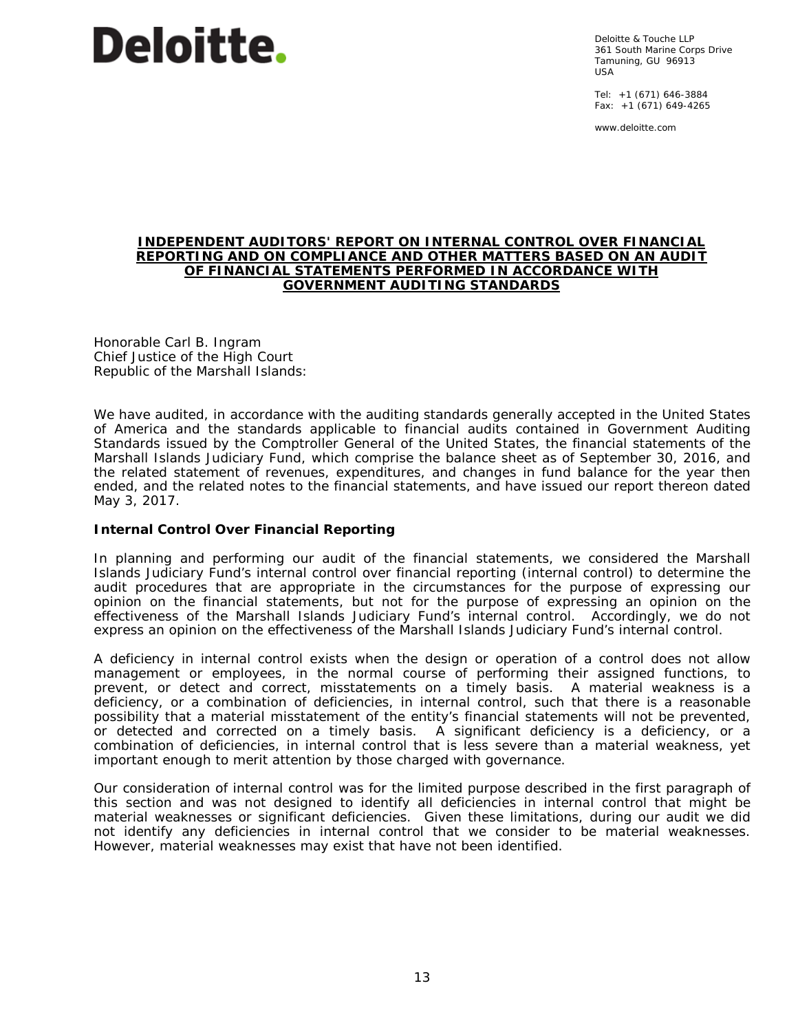Deloitte & Touche LLP 361 South Marine Corps Drive Tamuning, GU 96913 USA

Tel: +1 (671) 646-3884 Fax: +1 (671) 649-4265

www.deloitte.com

#### **INDEPENDENT AUDITORS' REPORT ON INTERNAL CONTROL OVER FINANCIAL REPORTING AND ON COMPLIANCE AND OTHER MATTERS BASED ON AN AUDIT OF FINANCIAL STATEMENTS PERFORMED IN ACCORDANCE WITH** *GOVERNMENT AUDITING STANDARDS*

Honorable Carl B. Ingram Chief Justice of the High Court Republic of the Marshall Islands:

We have audited, in accordance with the auditing standards generally accepted in the United States of America and the standards applicable to financial audits contained in *Government Auditing Standards* issued by the Comptroller General of the United States, the financial statements of the Marshall Islands Judiciary Fund, which comprise the balance sheet as of September 30, 2016, and the related statement of revenues, expenditures, and changes in fund balance for the year then ended, and the related notes to the financial statements, and have issued our report thereon dated May 3, 2017.

# **Internal Control Over Financial Reporting**

In planning and performing our audit of the financial statements, we considered the Marshall Islands Judiciary Fund's internal control over financial reporting (internal control) to determine the audit procedures that are appropriate in the circumstances for the purpose of expressing our opinion on the financial statements, but not for the purpose of expressing an opinion on the effectiveness of the Marshall Islands Judiciary Fund's internal control. Accordingly, we do not express an opinion on the effectiveness of the Marshall Islands Judiciary Fund's internal control.

A *deficiency in internal control* exists when the design or operation of a control does not allow management or employees, in the normal course of performing their assigned functions, to prevent, or detect and correct, misstatements on a timely basis. A *material weakness* is a deficiency, or a combination of deficiencies, in internal control, such that there is a reasonable possibility that a material misstatement of the entity's financial statements will not be prevented, or detected and corrected on a timely basis. A *significant deficiency* is a deficiency, or a combination of deficiencies, in internal control that is less severe than a material weakness, yet important enough to merit attention by those charged with governance.

Our consideration of internal control was for the limited purpose described in the first paragraph of this section and was not designed to identify all deficiencies in internal control that might be material weaknesses or significant deficiencies. Given these limitations, during our audit we did not identify any deficiencies in internal control that we consider to be material weaknesses. However, material weaknesses may exist that have not been identified.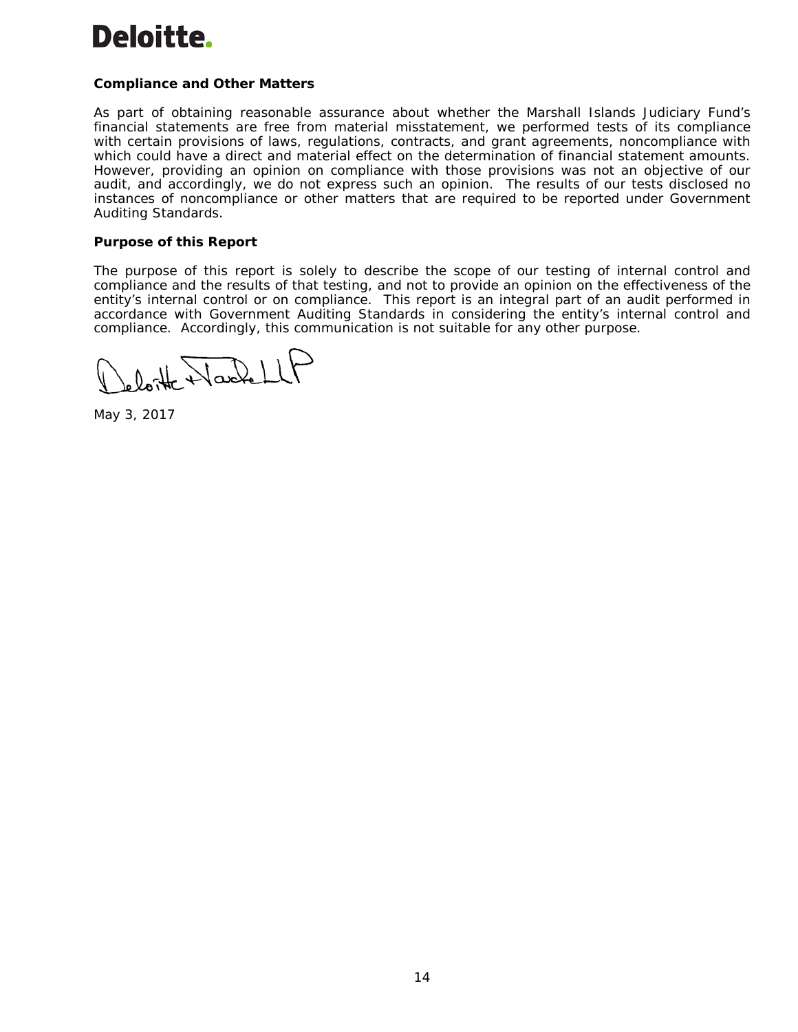# **Compliance and Other Matters**

As part of obtaining reasonable assurance about whether the Marshall Islands Judiciary Fund's financial statements are free from material misstatement, we performed tests of its compliance with certain provisions of laws, regulations, contracts, and grant agreements, noncompliance with which could have a direct and material effect on the determination of financial statement amounts. However, providing an opinion on compliance with those provisions was not an objective of our audit, and accordingly, we do not express such an opinion. The results of our tests disclosed no instances of noncompliance or other matters that are required to be reported under *Government Auditing Standards*.

### **Purpose of this Report**

The purpose of this report is solely to describe the scope of our testing of internal control and compliance and the results of that testing, and not to provide an opinion on the effectiveness of the entity's internal control or on compliance. This report is an integral part of an audit performed in accordance with *Government Auditing Standards* in considering the entity's internal control and compliance. Accordingly, this communication is not suitable for any other purpose.

eloite Nachell

May 3, 2017